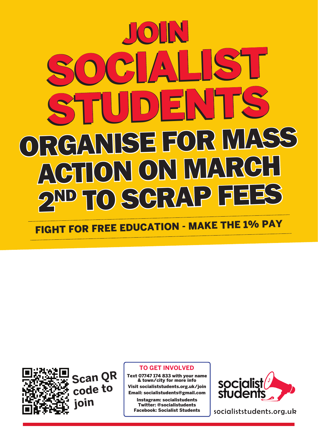## ORGANISE FOR MASS ACTION ON MARCH D SCRAP F Join Join socialist sTUDENTS sTUDENTSsocialisT

fight for free education - make the 1% pay



**Scan QR code to join**

## **To get involved**

Text 07747 174 833 with your name & town/city for more info Visit socialiststudents.org.uk/join Email: socialistudents@gmail.com

Instagram: socialistudents Twitter: @socialistudents Facebook: Socialist Students



socialiststudents.org.uk